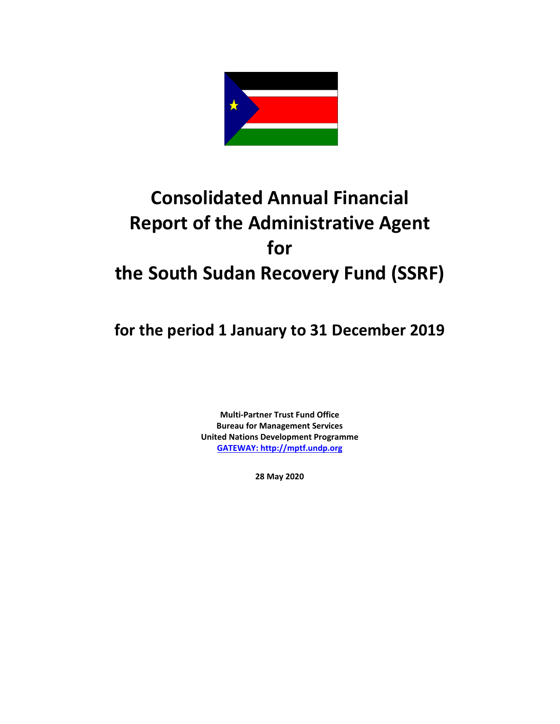

# **Consolidated Annual Financial Report of the Administrative Agent for the South Sudan Recovery Fund (SSRF)**

**for the period 1 January to 31 December 2019**

**Multi-Partner Trust Fund Office Bureau for Management Services United Nations Development Programme [GATEWAY: http://mptf.undp.org](http://mptf.undp.org/)**

**28 May 2020**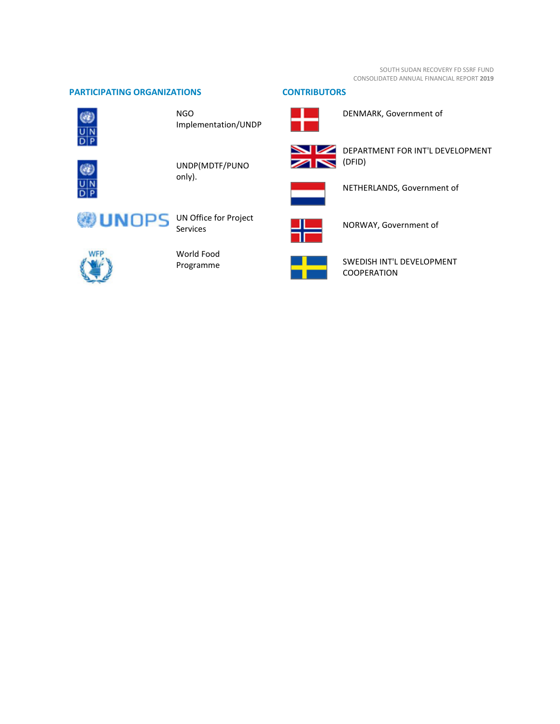SOUTH SUDAN RECOVERY FD SSRF FUND CONSOLIDATED ANNUAL FINANCIAL REPORT **2019**

## **PARTICIPATING ORGANIZATIONS CONTRIBUTORS**



NGO Implementation/UNDP



UNDP(MDTF/PUNO only).



## Services



World Food Programme



(DFID)

NETHERLANDS, Government of

DEPARTMENT FOR INT'L DEVELOPMENT



NORWAY, Government of

DENMARK, Government of



SWEDISH INT'L DEVELOPMENT COOPERATION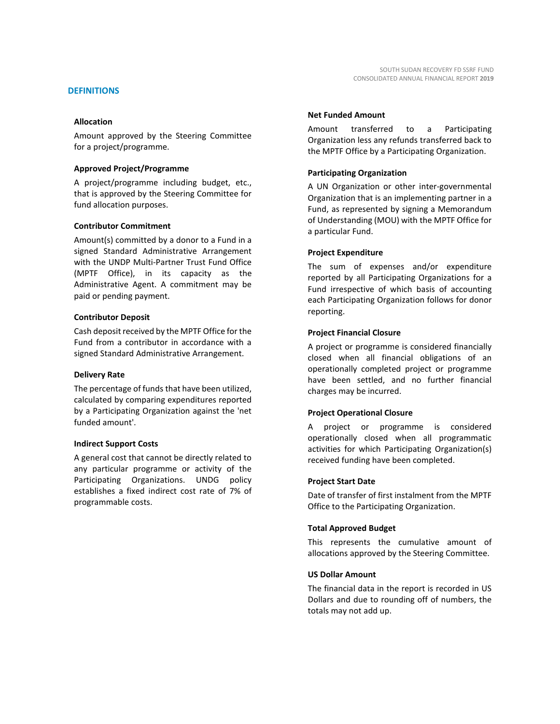#### **DEFINITIONS**

#### **Allocation**

Amount approved by the Steering Committee for a project/programme.

#### **Approved Project/Programme**

A project/programme including budget, etc., that is approved by the Steering Committee for fund allocation purposes.

#### **Contributor Commitment**

Amount(s) committed by a donor to a Fund in a signed Standard Administrative Arrangement with the UNDP Multi-Partner Trust Fund Office (MPTF Office), in its capacity as the Administrative Agent. A commitment may be paid or pending payment.

#### **Contributor Deposit**

Cash deposit received by the MPTF Office for the Fund from a contributor in accordance with a signed Standard Administrative Arrangement.

#### **Delivery Rate**

The percentage of funds that have been utilized, calculated by comparing expenditures reported by a Participating Organization against the 'net funded amount'.

#### **Indirect Support Costs**

A general cost that cannot be directly related to any particular programme or activity of the Participating Organizations. UNDG policy establishes a fixed indirect cost rate of 7% of programmable costs.

#### **Net Funded Amount**

Amount transferred to a Participating Organization less any refunds transferred back to the MPTF Office by a Participating Organization.

#### **Participating Organization**

A UN Organization or other inter-governmental Organization that is an implementing partner in a Fund, as represented by signing a Memorandum of Understanding (MOU) with the MPTF Office for a particular Fund.

#### **Project Expenditure**

The sum of expenses and/or expenditure reported by all Participating Organizations for a Fund irrespective of which basis of accounting each Participating Organization follows for donor reporting.

#### **Project Financial Closure**

A project or programme is considered financially closed when all financial obligations of an operationally completed project or programme have been settled, and no further financial charges may be incurred.

## **Project Operational Closure**

A project or programme is considered operationally closed when all programmatic activities for which Participating Organization(s) received funding have been completed.

#### **Project Start Date**

Date of transfer of first instalment from the MPTF Office to the Participating Organization.

## **Total Approved Budget**

This represents the cumulative amount of allocations approved by the Steering Committee.

#### **US Dollar Amount**

The financial data in the report is recorded in US Dollars and due to rounding off of numbers, the totals may not add up.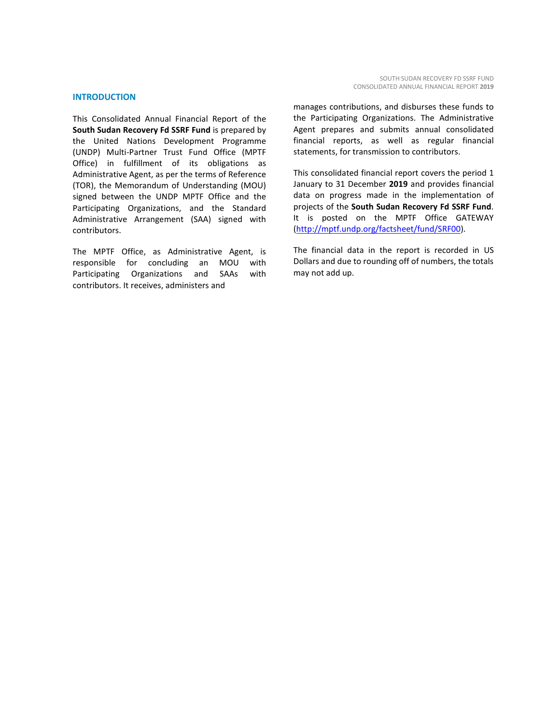#### **INTRODUCTION**

This Consolidated Annual Financial Report of the **South Sudan Recovery Fd SSRF Fund** is prepared by the United Nations Development Programme (UNDP) Multi-Partner Trust Fund Office (MPTF Office) in fulfillment of its obligations as Administrative Agent, as per the terms of Reference (TOR), the Memorandum of Understanding (MOU) signed between the UNDP MPTF Office and the Participating Organizations, and the Standard Administrative Arrangement (SAA) signed with contributors.

The MPTF Office, as Administrative Agent, is responsible for concluding an MOU with Participating Organizations and SAAs with contributors. It receives, administers and

manages contributions, and disburses these funds to the Participating Organizations. The Administrative Agent prepares and submits annual consolidated financial reports, as well as regular financial statements, for transmission to contributors.

This consolidated financial report covers the period 1 January to 31 December **2019** and provides financial data on progress made in the implementation of projects of the **South Sudan Recovery Fd SSRF Fund**. It is posted on the MPTF Office GATEWAY [\(http://mptf.undp.org/factsheet/fund/SRF00\)](http://mptf.undp.org/factsheet/fund/SRF00).

The financial data in the report is recorded in US Dollars and due to rounding off of numbers, the totals may not add up.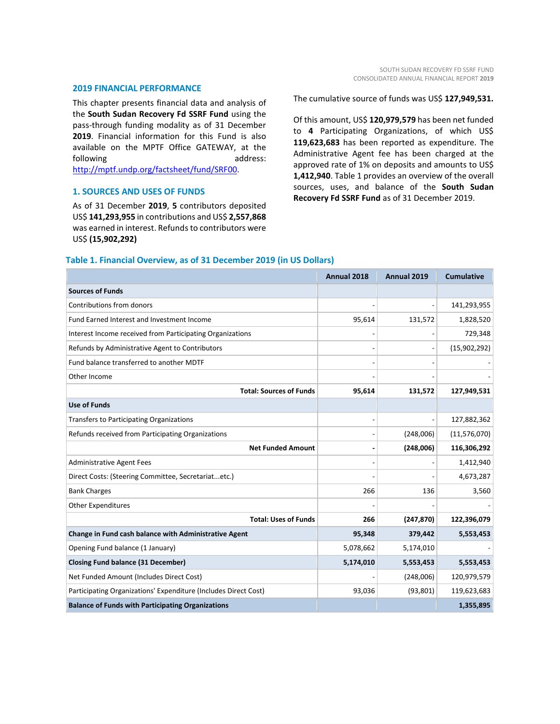#### **2019 FINANCIAL PERFORMANCE**

This chapter presents financial data and analysis of the **South Sudan Recovery Fd SSRF Fund** using the pass-through funding modality as of 31 December **2019**. Financial information for this Fund is also available on the MPTF Office GATEWAY, at the following address: [http://mptf.undp.org/factsheet/fund/SRF00.](http://mptf.undp.org/factsheet/fund/SRF00) 

## **1. SOURCES AND USES OF FUNDS**

As of 31 December **2019**, **5** contributors deposited US\$ **141,293,955** in contributions and US\$ **2,557,868** was earned in interest. Refunds to contributors were US\$ **(15,902,292)**

The cumulative source of funds was US\$ **127,949,531.**

Of this amount, US\$ **120,979,579** has been net funded to **4** Participating Organizations, of which US\$ **119,623,683** has been reported as expenditure. The Administrative Agent fee has been charged at the approved rate of 1% on deposits and amounts to US\$ **1,412,940**. Table 1 provides an overview of the overall sources, uses, and balance of the **South Sudan Recovery Fd SSRF Fund** as of 31 December 2019.

#### **Table 1. Financial Overview, as of 31 December 2019 (in US Dollars)**

|                                                                 | Annual 2018 | Annual 2019 | <b>Cumulative</b> |
|-----------------------------------------------------------------|-------------|-------------|-------------------|
| <b>Sources of Funds</b>                                         |             |             |                   |
| Contributions from donors                                       |             |             | 141,293,955       |
| Fund Earned Interest and Investment Income                      | 95,614      | 131,572     | 1,828,520         |
| Interest Income received from Participating Organizations       |             |             | 729,348           |
| Refunds by Administrative Agent to Contributors                 |             |             | (15,902,292)      |
| Fund balance transferred to another MDTF                        |             |             |                   |
| Other Income                                                    |             |             |                   |
| <b>Total: Sources of Funds</b>                                  | 95,614      | 131,572     | 127,949,531       |
| <b>Use of Funds</b>                                             |             |             |                   |
| Transfers to Participating Organizations                        |             |             | 127,882,362       |
| Refunds received from Participating Organizations               |             | (248,006)   | (11, 576, 070)    |
| <b>Net Funded Amount</b>                                        |             | (248,006)   | 116,306,292       |
| <b>Administrative Agent Fees</b>                                |             |             | 1,412,940         |
| Direct Costs: (Steering Committee, Secretariatetc.)             |             |             | 4,673,287         |
| <b>Bank Charges</b>                                             | 266         | 136         | 3,560             |
| <b>Other Expenditures</b>                                       |             |             |                   |
| <b>Total: Uses of Funds</b>                                     | 266         | (247, 870)  | 122,396,079       |
| Change in Fund cash balance with Administrative Agent           | 95,348      | 379,442     | 5,553,453         |
| Opening Fund balance (1 January)                                | 5,078,662   | 5,174,010   |                   |
| <b>Closing Fund balance (31 December)</b>                       | 5,174,010   | 5,553,453   | 5,553,453         |
| Net Funded Amount (Includes Direct Cost)                        |             | (248,006)   | 120,979,579       |
| Participating Organizations' Expenditure (Includes Direct Cost) | 93,036      | (93, 801)   | 119,623,683       |
| <b>Balance of Funds with Participating Organizations</b>        |             |             | 1,355,895         |